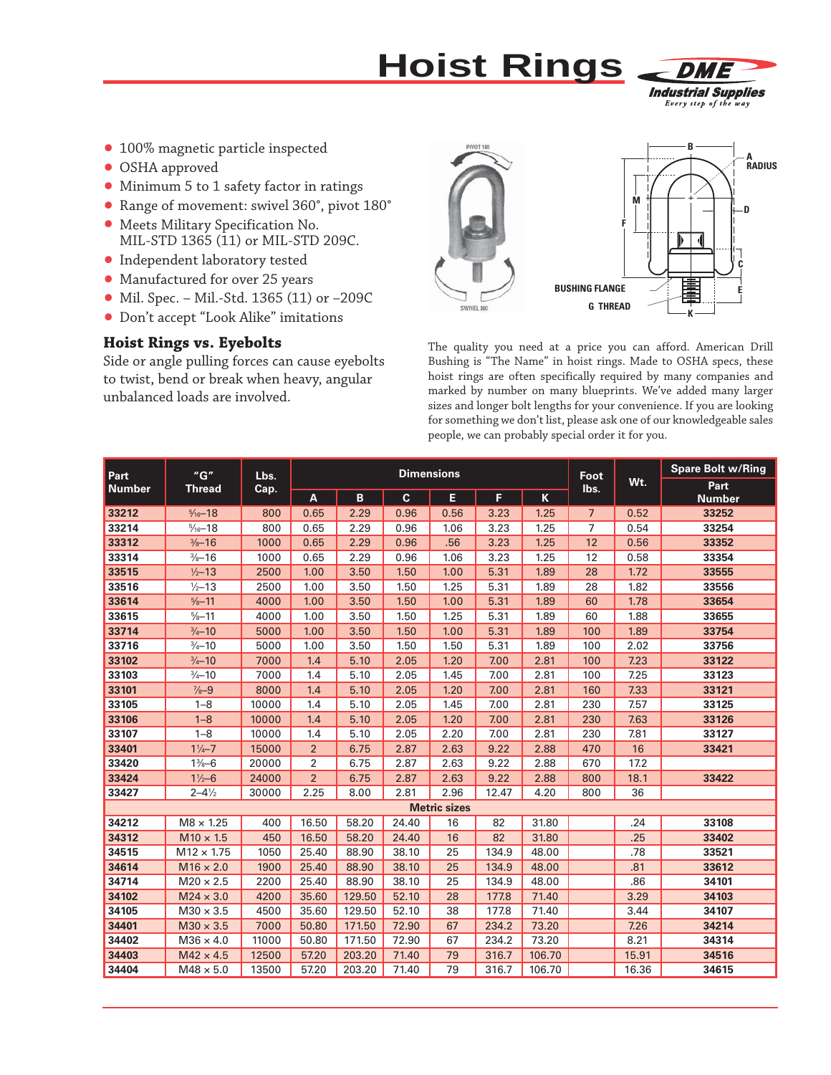# **Hoist Rings**



- **100% magnetic particle inspected**
- **OSHA** approved
- **•** Minimum 5 to 1 safety factor in ratings
- **t** Range of movement: swivel 360°, pivot 180°
- **Meets Military Specification No.** MIL-STD 1365 (11) or MIL-STD 209C.
- **•** Independent laboratory tested
- **t** Manufactured for over 25 years
- **t** Mil. Spec. Mil.-Std. 1365 (11) or –209C
- **t** Don't accept "Look Alike" imitations

### **Hoist Rings vs. Eyebolts**

Side or angle pulling forces can cause eyebolts to twist, bend or break when heavy, angular unbalanced loads are involved.



The quality you need at a price you can afford. American Drill Bushing is "The Name" in hoist rings. Made to OSHA specs, these hoist rings are often specifically required by many companies and marked by number on many blueprints. We've added many larger sizes and longer bolt lengths for your convenience. If you are looking for something we don't list, please ask one of our knowledgeable sales people, we can probably special order it for you.

| Part          | "G"<br><b>Thread</b> | Lbs.  |                |        | <b>Dimensions</b> |                     | Foot  |              | <b>Spare Bolt w/Ring</b> |       |               |
|---------------|----------------------|-------|----------------|--------|-------------------|---------------------|-------|--------------|--------------------------|-------|---------------|
| <b>Number</b> |                      | Cap.  |                |        |                   |                     |       |              | lbs.                     | Wt.   | Part          |
|               |                      |       | A              | B      | $\mathbf{C}$      | Е                   | F.    | $\mathsf{K}$ |                          |       | <b>Number</b> |
| 33212         | $\frac{5}{16} - 18$  | 800   | 0.65           | 2.29   | 0.96              | 0.56                | 3.23  | 1.25         | $\overline{7}$           | 0.52  | 33252         |
| 33214         | $\frac{5}{16} - 18$  | 800   | 0.65           | 2.29   | 0.96              | 1.06                | 3.23  | 1.25         | $\overline{7}$           | 0.54  | 33254         |
| 33312         | $\frac{3}{8} - 16$   | 1000  | 0.65           | 2.29   | 0.96              | .56                 | 3.23  | 1.25         | 12                       | 0.56  | 33352         |
| 33314         | $\frac{3}{8} - 16$   | 1000  | 0.65           | 2.29   | 0.96              | 1.06                | 3.23  | 1.25         | 12                       | 0.58  | 33354         |
| 33515         | $1/2 - 13$           | 2500  | 1.00           | 3.50   | 1.50              | 1.00                | 5.31  | 1.89         | 28                       | 1.72  | 33555         |
| 33516         | $\frac{1}{2} - 13$   | 2500  | 1.00           | 3.50   | 1.50              | 1.25                | 5.31  | 1.89         | 28                       | 1.82  | 33556         |
| 33614         | $\frac{5}{8} - 11$   | 4000  | 1.00           | 3.50   | 1.50              | 1.00                | 5.31  | 1.89         | 60                       | 1.78  | 33654         |
| 33615         | $\frac{5}{8} - 11$   | 4000  | 1.00           | 3.50   | 1.50              | 1.25                | 5.31  | 1.89         | 60                       | 1.88  | 33655         |
| 33714         | $\frac{3}{4} - 10$   | 5000  | 1.00           | 3.50   | 1.50              | 1.00                | 5.31  | 1.89         | 100                      | 1.89  | 33754         |
| 33716         | $\frac{3}{4} - 10$   | 5000  | 1.00           | 3.50   | 1.50              | 1.50                | 5.31  | 1.89         | 100                      | 2.02  | 33756         |
| 33102         | $\frac{3}{4} - 10$   | 7000  | 1.4            | 5.10   | 2.05              | 1.20                | 7.00  | 2.81         | 100                      | 7.23  | 33122         |
| 33103         | $\frac{3}{4} - 10$   | 7000  | 1.4            | 5.10   | 2.05              | 1.45                | 7.00  | 2.81         | 100                      | 7.25  | 33123         |
| 33101         | $\frac{7}{8} - 9$    | 8000  | 1.4            | 5.10   | 2.05              | 1.20                | 7.00  | 2.81         | 160                      | 7.33  | 33121         |
| 33105         | $1 - 8$              | 10000 | 1.4            | 5.10   | 2.05              | 1.45                | 7.00  | 2.81         | 230                      | 7.57  | 33125         |
| 33106         | $1 - 8$              | 10000 | 1.4            | 5.10   | 2.05              | 1.20                | 7.00  | 2.81         | 230                      | 7.63  | 33126         |
| 33107         | $1 - 8$              | 10000 | 1.4            | 5.10   | 2.05              | 2.20                | 7.00  | 2.81         | 230                      | 7.81  | 33127         |
| 33401         | $1\frac{1}{4} - 7$   | 15000 | $\overline{2}$ | 6.75   | 2.87              | 2.63                | 9.22  | 2.88         | 470                      | 16    | 33421         |
| 33420         | $1\% - 6$            | 20000 | 2              | 6.75   | 2.87              | 2.63                | 9.22  | 2.88         | 670                      | 17.2  |               |
| 33424         | $1\frac{1}{2} - 6$   | 24000 | $\overline{2}$ | 6.75   | 2.87              | 2.63                | 9.22  | 2.88         | 800                      | 18.1  | 33422         |
| 33427         | $2 - 4\frac{1}{2}$   | 30000 | 2.25           | 8.00   | 2.81              | 2.96                | 12.47 | 4.20         | 800                      | 36    |               |
|               |                      |       |                |        |                   | <b>Metric sizes</b> |       |              |                          |       |               |
| 34212         | $M8 \times 1.25$     | 400   | 16.50          | 58.20  | 24.40             | 16                  | 82    | 31.80        |                          | .24   | 33108         |
| 34312         | $M10 \times 1.5$     | 450   | 16.50          | 58.20  | 24.40             | 16                  | 82    | 31.80        |                          | .25   | 33402         |
| 34515         | $M12 \times 1.75$    | 1050  | 25.40          | 88.90  | 38.10             | 25                  | 134.9 | 48.00        |                          | .78   | 33521         |
| 34614         | $M16 \times 2.0$     | 1900  | 25.40          | 88.90  | 38.10             | 25                  | 134.9 | 48.00        |                          | .81   | 33612         |
| 34714         | $M20 \times 2.5$     | 2200  | 25.40          | 88.90  | 38.10             | 25                  | 134.9 | 48.00        |                          | .86   | 34101         |
| 34102         | $M24 \times 3.0$     | 4200  | 35.60          | 129.50 | 52.10             | 28                  | 177.8 | 71.40        |                          | 3.29  | 34103         |
| 34105         | $M30 \times 3.5$     | 4500  | 35.60          | 129.50 | 52.10             | 38                  | 177.8 | 71.40        |                          | 3.44  | 34107         |
| 34401         | $M30 \times 3.5$     | 7000  | 50.80          | 171.50 | 72.90             | 67                  | 234.2 | 73.20        |                          | 7.26  | 34214         |
| 34402         | $M36 \times 4.0$     | 11000 | 50.80          | 171.50 | 72.90             | 67                  | 234.2 | 73.20        |                          | 8.21  | 34314         |
| 34403         | $M42 \times 4.5$     | 12500 | 57.20          | 203.20 | 71.40             | 79                  | 316.7 | 106.70       |                          | 15.91 | 34516         |
| 34404         | $M48 \times 5.0$     | 13500 | 57.20          | 203.20 | 71.40             | 79                  | 316.7 | 106.70       |                          | 16.36 | 34615         |